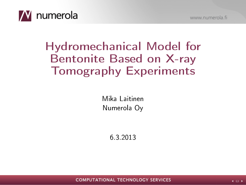

# Hydromechanical Model for Bentonite Based on X-ray Tomography Experiments

Mika Laitinen Numerola Oy

6.3.2013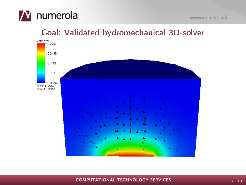

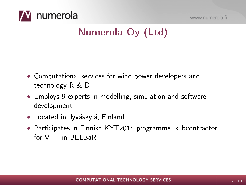



## Numerola Oy (Ltd)

- Computational services for wind power developers and technology R & D
- Employs 9 experts in modelling, simulation and software development
- Located in Jyväskylä, Finland
- Participates in Finnish KYT2014 programme, subcontractor for VTT in BELBaR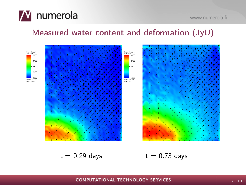



#### Measured water content and deformation (JyU)



 $t = 0.29$  days  $t = 0.73$  days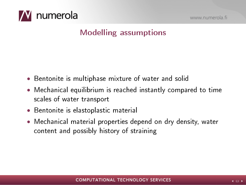

## Modelling assumptions

- Bentonite is multiphase mixture of water and solid
- Mechanical equilibrium is reached instantly compared to time scales of water transport
- Bentonite is elastoplastic material
- Mechanical material properties depend on dry density, water content and possibly history of straining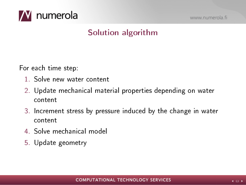

www.numerola.fi

#### Solution algorithm

For each time step:

- 1. Solve new water content
- 2. Update mechanical material properties depending on water content
- 3. Increment stress by pressure induced by the change in water content
- 4. Solve mechanical model
- 5. Update geometry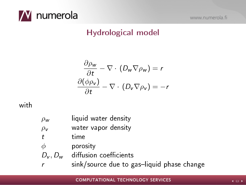

www.numerola.fi

#### Hydrological model

$$
\frac{\partial \rho_w}{\partial t} - \nabla \cdot (D_w \nabla \rho_w) = r
$$

$$
\frac{\partial (\phi \rho_v)}{\partial t} - \nabla \cdot (D_v \nabla \rho_v) = -r
$$

with

 $\rho_w$  liquid water density  $\rho_{\rm v}$  water vapor density t time  $\phi$  porosity  $D_v$ ,  $D_w$  diffusion coefficients  $r$  sink/source due to gas-liquid phase change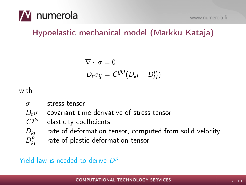

## Hypoelastic mechanical model (Markku Kataja)

$$
\nabla \cdot \sigma = 0
$$
  

$$
D_t \sigma_{ij} = C^{ijkl} (D_{kl} - D_{kl}^p)
$$

with

 $\sigma$  stress tensor

 $D_t\sigma$  covariant time derivative of stress tensor

- $\zeta$ ijkl elasticity coefficients
- $D_{kl}$  rate of deformation tensor, computed from solid velocity
- $D_t^p$ rate of plastic deformation tensor

Yield law is needed to derive  $D^{\rho}$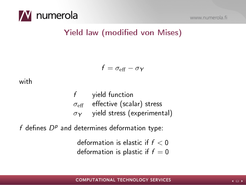

#### Yield law (modified von Mises)

$$
f = \sigma_{\rm eff} - \sigma_Y
$$

with

f yield function  $\sigma_{\rm eff}$  effective (scalar) stress  $\sigma_Y$  yield stress (experimental)

 $f$  defines  $D^p$  and determines deformation type:

deformation is elastic if  $f < 0$ deformation is plastic if  $f = 0$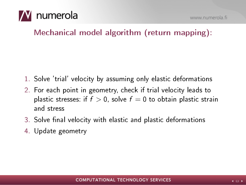

Mechanical model algorithm (return mapping):

- 1. Solve 'trial' velocity by assuming only elastic deformations
- 2. For each point in geometry, check if trial velocity leads to plastic stresses: if  $f > 0$ , solve  $f = 0$  to obtain plastic strain and stress
- 3. Solve final velocity with elastic and plastic deformations
- 4. Update geometry